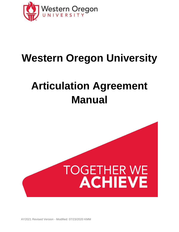

# **Western Oregon University**

# **Articulation Agreement Manual**



AY2021 Revised Version - Modified: 07/23/2020 KMM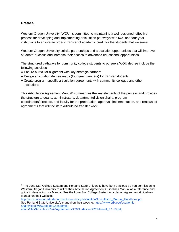# <span id="page-1-0"></span>**Preface**

Western Oregon University (WOU) is committed to maintaining a well-designed, effective process for developing and implementing articulation pathways with two- and four-year institutions to ensure an orderly transfer of academic credit for the students that we serve.

Western Oregon University solicits partnerships and articulation opportunities that will improve students' success and increase their access to advanced educational opportunities.

The structured pathways for community college students to pursue a WOU degree include the following activities:

- Ensure curricular alignment with key strategic partners
- Design articulation degree maps (four-year planners) for transfer students
- Create program-specific articulation agreements with community colleges and other **Institutions**

This Articulation Agreement Manual<sup>1</sup> summarizes the key elements of the process and provides the structure to deans, administrators, department/division chairs, program coordinators/directors, and faculty for the preparation, approval, implementation, and renewal of agreements that will facilitate articulated transfer work.

[http://www.lonestar.edu/departments/universityarticulation/Articulation\\_Manual\\_Handbook.pdf](http://www.lonestar.edu/departments/universityarticulation/Articulation_Manual_Handbook.pdf) See Portland State University's manual on their website: [https://www.pdx.edu/academic](https://www.pdx.edu/academic-affairs/sites/www.pdx.edu.academic-affairs/files/Articulation%20Agreements%20Guidelines%20Manual_2.1.18.pdf)[affairs/sites/www.pdx.edu.academic](https://www.pdx.edu/academic-affairs/sites/www.pdx.edu.academic-affairs/files/Articulation%20Agreements%20Guidelines%20Manual_2.1.18.pdf)[affairs/files/Articulation%20Agreements%20Guidelines%20Manual\\_2.1.18.pdf](https://www.pdx.edu/academic-affairs/sites/www.pdx.edu.academic-affairs/files/Articulation%20Agreements%20Guidelines%20Manual_2.1.18.pdf)

<sup>&</sup>lt;sup>1</sup> The Lone Star College System and Portland State University have both graciously given permission to Western Oregon University to utilize their Articulation Agreement Guidelines Manual as a reference and guide in developing our Manual. See the Lone Star College System Articulation Agreement Guidelines Manual on their website: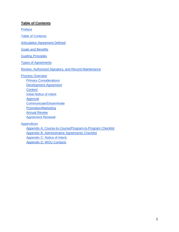## <span id="page-2-0"></span>**Table of Contents**

[Preface](#page-1-0)

[Table of Contents](#page-2-0)

Articulation Agreement Defined

**[Goals and Benefits](#page-4-0)** 

**[Guiding Principles](#page-5-0)** 

[Types of Agreements](#page-6-0)

[Review, Authorized Signatory, and Record Maintenance](#page-7-0)

[Process Overview](#page-9-0)

**[Primary Considerations](#page-9-1)** [Development Agreement](#page-9-2) **[Content](#page-10-0) [Initial Notice of Intent](#page-10-1)** [Approval](#page-11-0) [Communicate/Disseminate](#page-11-1) [Promotion/Marketing](#page-11-2) [Annual Review](#page-12-0) [Agreement Renewal](#page-12-1) **[Appendices](#page-13-0)** 

[Appendix A: Course-to-Course/Program-to-Program Checklist](#page-14-0) [Appendix B: Administrative Agreements Checklist](#page-16-0) [Appendix C: Notice of Intent:](#page-18-0) [Appendix D: WOU Contacts](#page-19-0)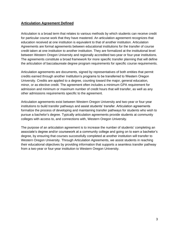## **Articulation Agreement Defined**

Articulation is a broad term that relates to various methods by which students can receive credit for particular course work that they have mastered. An articulation agreement recognizes that education received at one institution is equivalent to that of another institution. Articulation Agreements are formal agreements between educational institutions for the transfer of course credit taken at one institution to another institution. They are formalized at the institutional level between Western Oregon University and regionally accredited two-year or four-year institutions. The agreements constitute a broad framework for more specific transfer planning that will define the articulation of baccalaureate degree program requirements for specific course requirements.

Articulation agreements are documents, signed by representatives of both entities that permit credits earned through another Institution's programs to be transferred to Western Oregon University. Credits are applied to a degree, counting toward the major, general education, minor, or as elective credit. The agreement often includes a minimum GPA requirement for admission and minimum or maximum number of credit hours that will transfer, as well as any other admissions requirements specific to the agreement.

Articulation agreements exist between Western Oregon University and two-year or four-year institutions to build transfer pathways and assist students' transfer. Articulation agreements formalize the process of developing and maintaining transfer pathways for students who wish to pursue a bachelor's degree. Typically articulation agreements provide students at community colleges with access to, and connections with, Western Oregon University.

The purpose of an articulation agreement is to increase the number of students' completing an associate's degree and/or coursework at a community college and going on to earn a bachelor's degree, by ensuring that courses successfully completed at another institution will transfer to Western Oregon University. Through Articulation Agreements, we assist students in reaching their educational objectives by providing information that supports a seamless transfer pathway from a two-year or four-year institution to Western Oregon University.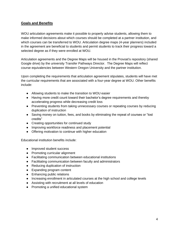# <span id="page-4-0"></span>**Goals and Benefits**

WOU articulation agreements make it possible to properly advise students, allowing them to make informed decisions about which courses should be completed at a partner institution, and which courses can be transferred to WOU. Articulation degree maps (4-year planners) included in the agreement are beneficial to students and permit students to track their progress toward a selected degree as if they were enrolled at WOU.

Articulation agreements and the Degree Maps will be housed in the Provost's repository (shared Google drive) by the university Transfer Pathways Director. The Degree Maps will reflect course equivalencies between Western Oregon University and the partner institution.

Upon completing the requirements that articulation agreement stipulates, students will have met the curricular requirements that are associated with a four-year degree at WOU. Other benefits include:

- Allowing students to make the transition to WOU easier
- Having more credit count toward their bachelor's degree requirements and thereby accelerating progress while decreasing credit loss
- Preventing students from taking unnecessary courses or repeating courses by reducing duplication of instruction
- Saving money on tuition, fees, and books by eliminating the repeat of courses or "lost" credits"
- Creating opportunities for continued study
- Improving workforce readiness and placement potential
- Offering motivation to continue with higher education

Educational institution benefits include:

- Improved student success
- Promoting curricular alignment
- Facilitating communication between educational institutions
- Facilitating communication between faculty and administrators
- Reducing duplication of instruction
- Expanding program content
- Enhancing public relations
- Increasing enrollment in articulated courses at the high school and college levels
- Assisting with recruitment at all levels of education
- Promoting a unified educational system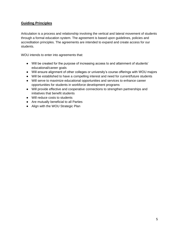# <span id="page-5-0"></span>**Guiding Principles**

Articulation is a process and relationship involving the vertical and lateral movement of students through a formal education system. The agreement is based upon guidelines, policies and accreditation principles. The agreements are intended to expand and create access for our students.

WOU intends to enter into agreements that:

- Will be created for the purpose of increasing access to and attainment of students' educational/career goals
- Will ensure alignment of other colleges or university's course offerings with WOU majors
- Will be established to have a compelling interest and need for current/future students
- Will serve to maximize educational opportunities and services to enhance career opportunities for students in workforce development programs
- Will provide effective and cooperative connections to strengthen partnerships and initiatives that benefit students
- Will reduce costs to students
- Are mutually beneficial to all Parties
- Align with the WOU Strategic Plan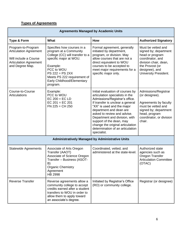# <span id="page-6-0"></span>**Types of Agreements**

| <b>Agreements Managed by Academic Units</b>                                                                                      |                                                                                                                                                                                                                                           |                                                                                                                                                                                                                                                                                                                                                                                       |                                                                                                                                                                           |  |  |
|----------------------------------------------------------------------------------------------------------------------------------|-------------------------------------------------------------------------------------------------------------------------------------------------------------------------------------------------------------------------------------------|---------------------------------------------------------------------------------------------------------------------------------------------------------------------------------------------------------------------------------------------------------------------------------------------------------------------------------------------------------------------------------------|---------------------------------------------------------------------------------------------------------------------------------------------------------------------------|--|--|
| Type & Form                                                                                                                      | What                                                                                                                                                                                                                                      | How                                                                                                                                                                                                                                                                                                                                                                                   | <b>Authorized Signatory</b>                                                                                                                                               |  |  |
| Program-to-Program<br><b>Articulation Agreement</b><br>Will include a Course<br><b>Articulation Agreement</b><br>and Degree Map. | Specifies how courses in a<br>program at a Community<br>College (CC) will transfer to a<br>specific major at WOU.<br>Example:<br>PCC to WOU<br>$PS$ 222 = PS 2XX<br>Meets PS 222 requirement of<br>Early Childhood/Elementary<br>program. | Formal agreement, generally<br>initiated by department,<br>program, or division. May<br>allow courses that are not a<br>direct equivalent to WOU<br>courses to be accepted to<br>meet major requirements for a<br>specific major only.                                                                                                                                                | Must be vetted and<br>signed by; department<br>head or program<br>coordinator, and<br>division chair, dean,<br>the Provost (or<br>designee), and<br>University President. |  |  |
| Course-to-Course<br>Articulations                                                                                                | Example:<br>PCC to WOU<br>$EC 200 = EC LD$<br>$EC 201 = EC 201$<br>$FN$ 225 = $CH$ 250                                                                                                                                                    | Initial evaluation of courses by<br>articulation specialists in the<br>Admissions/Registrar's office.<br>If transfer is unclear a general<br>"XX" is used and the major<br>department and dean are<br>asked to review and advise.<br>Department and division, with<br>support of the dean, may<br>change the original articulation<br>determination of an articulation<br>specialist. | Admissions/Registrar<br>(or designee).<br>Agreements by faculty<br>must be vetted and<br>signed by; department<br>head, program<br>coordinator, or division<br>chair.     |  |  |
| <b>Administratively Managed by Administrative Units</b>                                                                          |                                                                                                                                                                                                                                           |                                                                                                                                                                                                                                                                                                                                                                                       |                                                                                                                                                                           |  |  |
| <b>Statewide Agreements</b>                                                                                                      | Associate of Arts Oregon<br>Transfer (AAOT)<br>Associate of Science Oregon<br>Transfer - Business (ASOT-<br>B)<br><b>Organic Chemistry</b><br>Agreement<br><b>HB 2998</b>                                                                 | Coordinated, vetted, and<br>administered at the state-level.                                                                                                                                                                                                                                                                                                                          | Authorized state<br>agencies such as<br>Oregon Transfer<br><b>Articulation Committee</b><br>(OTAC)                                                                        |  |  |
| <b>Reverse Transfer</b>                                                                                                          | Reverse agreements allow a<br>community college to accept<br>credits earned after a student<br>transfers to WOU in order to<br>allow them to apply toward<br>an associate's degree.                                                       | Initiated by Registrar's Office<br>(RO) or community college.                                                                                                                                                                                                                                                                                                                         | Registrar (or designee)                                                                                                                                                   |  |  |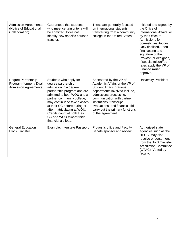<span id="page-7-0"></span>

| <b>Admission Agreements:</b><br>(Notice of Educational<br>Collaboration)     | Guarantees that students<br>who meet certain criteria will<br>be admitted. Does not<br>identify how specific courses<br>transfer.                                                                                                                                                                                                                | These are generally focused<br>on international students<br>transferring from a community<br>college in the United States.                                                                                                                                                                                 | Initiated and signed by<br>the Office of<br>International Affairs, or<br>by the Office of<br>Admissions for<br>domestic institutions.<br>Only finalized, upon<br>final vetting and<br>signature of the<br>Provost (or designee).<br>If special tuition/fee<br>rates apply the VP of<br>Finance must<br>approve. |
|------------------------------------------------------------------------------|--------------------------------------------------------------------------------------------------------------------------------------------------------------------------------------------------------------------------------------------------------------------------------------------------------------------------------------------------|------------------------------------------------------------------------------------------------------------------------------------------------------------------------------------------------------------------------------------------------------------------------------------------------------------|-----------------------------------------------------------------------------------------------------------------------------------------------------------------------------------------------------------------------------------------------------------------------------------------------------------------|
| Degree Partnership<br>Program (formerly Dual<br><b>Admission Agreements)</b> | Students who apply for<br>degree partnership<br>admission in a degree<br>partnership program and are<br>admitted to both WOU and a<br>partner community college,<br>may continue to take classes<br>at their CC before during or<br>after matriculating at WOU.<br>Credits count at both their<br>CC and WOU toward their<br>financial aid load. | Sponsored by the VP of<br>Academic Affairs or the VP of<br><b>Student Affairs. Various</b><br>departments involved include,<br>admissions processing,<br>communication with partner<br>institutions, transcript<br>evaluations, and financial aid,<br>carry out the primary functions<br>of the agreement. | <b>University President</b>                                                                                                                                                                                                                                                                                     |
| <b>General Education</b><br><b>Block Transfer</b>                            | Example: Interstate Passport                                                                                                                                                                                                                                                                                                                     | Provost's office and Faculty<br>Senate sponsor and review.                                                                                                                                                                                                                                                 | Authorized state<br>agencies such as the<br>HECC. May also<br>receive endorsement<br>from the Joint Transfer<br><b>Articulation Committee</b><br>(OTAC). Vetted by<br>faculty.                                                                                                                                  |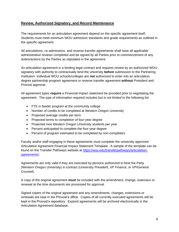## **Review, Authorized Signatory, and Record Maintenance**

The requirements for an articulation agreement depend on the specific agreement itself. Students must meet minimum WOU admission standards and grade requirements as outlined in the specific agreement.

All articulations, co-admissions, and reverse transfer agreements shall have all applicable administrative reviews completed and be signed by all Parties prior to commencement of any duties/actions by the Parties as stipulated in the agreement.

An articulation agreement is a binding legal contract and requires review by an authorized WOU signatory with authority to contractually bind the university **before** submission to the Partnering Institution. Individual WOU schools/colleges are **not** authorized to enter into an articulation, degree partnership program agreement or reverse transfer agreement **without** President and Provost approval.

All agreement types **require** a Financial Impact statement be provided prior to negotiating the agreement. The type of information required includes but is not limited to the following list:

- FTE in feeder program at the community college
- Number of credits to be completed at Western Oregon University
- Projected average credits per term
- Projected terms to completion of four-year degree
- Projected new Western Oregon University students per year
- Percent anticipated to complete the four-year degree
- Percent of program estimated to be completed by non-completers

Faculty and/or staff engaging in these agreements must complete the university approved Articulation Agreement Financial Impact Statement Template. A sample of the template can be found on the Transfer Pathways website at [https://wou.edu/transferpathways/articulation](https://wou.edu/transferpathways/articulation-agreements/)[agreements/.](https://wou.edu/transferpathways/articulation-agreements/)

Agreements are only valid if they are executed by persons authorized to bind the Party (Western Oregon University) in contract (University President, VP Finance, or VP/General Counsel).

A copy of the original agreement **must** be included with the amendment, change, extension or renewal at the time documents are processed for approval.

Signed copies of the original agreement and any amendments, changes, extensions or renewals are kept in the Provost's office. Copies of all currently executed agreements will be kept in the Provost's repository. Expired agreements will be archived electronically in the Articulation Agreement database.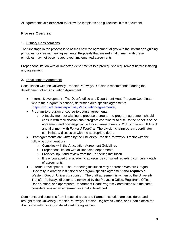<span id="page-9-0"></span>All agreements **are expected** to follow the templates and guidelines in this document.

# **Process Overview**

## <span id="page-9-1"></span>**1.** Primary Considerations

The first stage in the process is to assess how the agreement aligns with the institution's guiding principles for creating new agreements. Proposals that are **not** in alignment with these principles may not become approved, implemented agreements.

Proper consultation with all impacted departments **is a** prerequisite requirement before initiating any agreement.

## <span id="page-9-2"></span>**2.** Development Agreement

Consultation with the University Transfer Pathways Director is recommended during the development of an Articulation Agreement.

- Internal Development The Dean's office and Department Head/Program Coordinator where the program is housed, determine area specific agreements [\(https://wou.edu/transferpathways/articulation-agreements/\)](https://wou.edu/transferpathways/articulation-agreements/).
- Program-to-program or course-to-course agreements:
	- A faculty member wishing to propose a program-to-program agreement should consult with their division chair/program coordinator to discuss the benefits of the agreement and how engaging in this agreement meets WOU's mission fulfillment and alignment with *Forward Together*. The division chair/program coordinator can initiate a discussion with the appropriate dean.
- Draft agreements are written by the University Transfer Pathways Director with the following considerations:
	- Complies with the Articulation Agreement Guidelines
	- Proper consultation with all impacted departments
	- Provides input and review from the Partnering Institution
	- $\circ$  It is encouraged that academic advisors be consulted regarding curricular details of agreements.
- External Development The Partnering Institution may approach Western Oregon University to draft an institutional or program specific agreement **and requires** a Western Oregon University sponsor. The draft agreement is written by the University Transfer Pathways director and reviewed by the Provost's Office, Registrar's Office, Dean's office, and appropriate Department Head/Program Coordinator with the same considerations as an agreement internally developed.

Comments and concerns from impacted areas and Partner Institution are considered and brought to the University Transfer Pathways Director, Registrar's Office, and Dean's office for discussion with those who developed the agreement.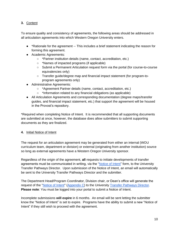## <span id="page-10-0"></span>**3.** Content

To ensure quality and consistency of agreements, the following areas should be addressed in all articulation agreements into which Western Oregon University enters.

- \*Rationale for the agreement -- This includes a brief statement indicating the reason for forming this agreement.
- Academic Agreements:
	- \*Partner institution details (name, contact, accreditation, etc.)
	- \*Names of impacted programs (if applicable)
	- Submit a Permanent Articulation request form via the portal (for course-to-course equivalencies only)
	- Transfer guide/degree map and financial impact statement (for program-toprogram agreements only)
- Administrative Agreements:
	- \*Agreement Partner details (name, contact, accreditation, etc.)
	- \*Information related to any financial obligations (as applicable)
- All Articulation Agreements and corresponding documentation (degree maps/transfer guides, and financial impact statement, etc.) that support the agreement will be housed in the Provost's repository.

\*Required when completing Notice of Intent. It is recommended that all supporting documents are submitted at once, however, the database does allow submitters to submit supporting documents as they are finalized.

## <span id="page-10-1"></span>**4.** Initial Notice of Intent

The request for an articulation agreement may be generated from either an internal (WOU curriculum team, department or division) or external (originating from another institution) source so long as external agreements have a Western Oregon University sponsor.

Regardless of the origin of the agreement, **all** requests to initiate developments of transfer agreements must be communicated in writing, via the ["Notice of Intent"](https://wou.edu/transferpathways/articulation-agreements/database/) form, to the University Transfer Pathways Director. Upon submission of the Notice of Intent, an email will automatically be sent to the University Transfer Pathways Director and the submitter.

The Department Head/Program Coordinator, Division chair, or Dean's office will generate the request of the ["Notice of Intent"](https://wou.edu/transferpathways/articulation-agreements/database/) [\(Appendix C\)](#page-18-0) to the University [Transfer Pathways Directo](#page-19-0)r. **Please note**: You must be logged into your portal to submit a Notice of Intent.

Incomplete submissions **will expire** in 6 months. An email will be sent letting the submitter know the "Notice of Intent" is set to expire. Programs have the ability to submit a new "Notice of Intent" if they still wish to proceed with the agreement.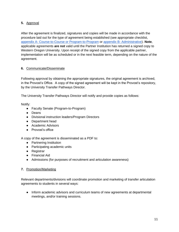## <span id="page-11-0"></span>**5.** Approval

After the agreement is finalized, signatures and copies will be made in accordance with the procedure laid out for the type of agreement being established (see appropriate checklist, [appendix](#page-14-0) A- [Course-to-Course or Program-to-Program](#page-14-0) or appendix B- [Administrative\)](#page-16-0). **Note**, applicable agreements **are not** valid until the Partner Institution has returned a signed copy to Western Oregon University. Upon receipt of the signed copy from the applicable partner, implementation will be as scheduled or in the next feasible term, depending on the nature of the agreement.

## <span id="page-11-1"></span>**6.** Communicate/Disseminate

Following approval by obtaining the appropriate signatures, the original agreement is archived, in the Provost's Office. A copy of the signed agreement will be kept in the Provost's repository, by the University Transfer Pathways Director.

The University Transfer Pathways Director will notify and provide copies as follows:

Notify:

- Faculty Senate (Program-to-Program)
- Deans
- Divisional instruction leaders/Program Directors
- Department head
- Academic Advisors
- Provost's office

A copy of the agreement is disseminated as a PDF to:

- Partnering Institution
- Participating academic units
- Registrar
- Financial Aid
- Admissions (for purposes of recruitment and articulation awareness)

## <span id="page-11-2"></span>**7.** Promotion/Marketing

Relevant departments/divisions will coordinate promotion and marketing of transfer articulation agreements to students in several ways:

● Inform academic advisors and curriculum teams of new agreements at departmental meetings, and/or training sessions.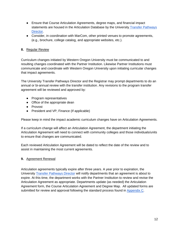- Ensure that Course Articulation Agreements, degree maps, and financial impact statements are housed in the Articulation Database by the University Transfer Pathways [Directo](#page-19-0)r.
- Consider, in coordination with MarCom, other printed venues to promote agreements, (e.g., brochure, college catalog, and appropriate websites, etc.).

## <span id="page-12-0"></span>**8.** Regular Review

Curriculum changes initiated by Western Oregon University must be communicated to and resulting changes coordinated with the Partner Institution. Likewise Partner Institutions must communicate and coordinate with Western Oregon University upon initiating curricular changes that impact agreements.

The University Transfer Pathways Director and the Registrar may prompt departments to do an annual or bi-annual review with the transfer institution. Any revisions to the program transfer agreement will be reviewed and approved by:

- Program representatives
- Office of the appropriate dean
- Provost
- President and VP, Finance (If applicable)

Please keep in mind the impact academic curriculum changes have on Articulation Agreements.

If a curriculum change will affect an Articulation Agreement, the department initiating the Articulation Agreement will need to connect with community colleges and those individuals/units to ensure that changes are communicated.

Each reviewed Articulation Agreement will be dated to reflect the date of the review and to assist in maintaining the most current agreements.

## <span id="page-12-1"></span>**9.** Agreement Renewal

Articulation agreements typically expire after three years. A year prior to expiration, the University [Transfer Pathways Directo](#page-19-0)r will notify departments that an agreement is about to expire. At this time, the department works with the Partner Institution to review and revise the Articulation Agreement as appropriate. Departments update (as needed) the Articulation Agreement form, the Course Articulation Agreement and Degree Map. All updated forms are submitted for review and approval following the standard process found in [Appendix C.](#page-18-0)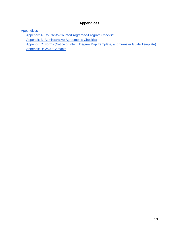# **Appendices**

<span id="page-13-0"></span>**[Appendices](#page-13-0)** 

[Appendix A: Course-to-Course/Program-to-Program Checklist](#page-14-0) [Appendix B: Administrative Agreements Checklist](#page-16-0) [Appendix C: Forms \(Notice of Intent, Degree Map Template, and Transfer Guide Template\)](#page-18-0) [Appendix D: WOU Contacts](#page-19-0)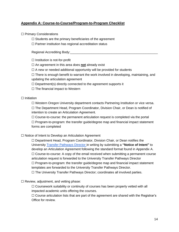## <span id="page-14-0"></span>**Appendix A: Course-to-Course/Program-to-Program Checklist**

## □ Primary Considerations

- $\Box$  Students are the primary beneficiaries of the agreement
- ☐ Partner institution has regional accreditation status

Regional Accrediting Body:

 $\Box$  Institution is not-for-profit

☐ An agreement in this area does **not** already exist

 $\Box$  A new or needed additional opportunity will be provided for students

 $\Box$  There is enough benefit to warrant the work involved in developing, maintaining, and updating the articulation agreement

 $\Box$  Department(s) directly connected to the agreement supports it

 $\Box$  The financial impact to Western

## ☐ Initiation

□ Western Oregon University department contacts Partnering Institution or vice versa. ☐ The Department Head, Program Coordinator, Division Chair, or Dean is notified of intention to create an Articulation Agreement.

 $\Box$  Course-to-course: the permanent articulation request is completed via the portal  $\Box$  Program-to-program: the transfer guide/degree map and financial impact statement forms are completed

### ☐ Notice of Intent to Develop an Articulation Agreement

☐ Department Head, Program Coordinator, Division Chair, or Dean notifies the University Transfer Pathways Director in writing by submitting a **"Notice of Intent"** to develop an Articulation Agreement following the standard format found in Appendix A.  $\Box$  Course-to-course: A copy of the email received when submitting a permanent course articulation request is forwarded to the University Transfer Pathways Director  $\Box$  Program-to-program: the transfer guide/degree map and financial impact statement templates are forwarded to the University Transfer Pathways Director.  $\Box$  The University Transfer Pathways Director; coordinates all involved parties.

## $\Box$  Review, adjustment, and vetting phase:

 $\Box$  Coursework suitability or continuity of courses has been properly vetted with all impacted academic units offering the courses.

 $\Box$  Course articulation lists that are part of the agreement are shared with the Registrar's Office for review.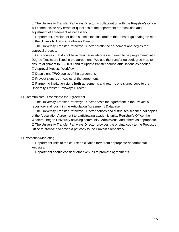$\Box$  The University Transfer Pathways Director in collaboration with the Registrar's Office will communicate any errors or questions to the department for resolution and adjustment of agreement as necessary.

□ Department, division, or dean submits the final draft of the transfer guide/degree map to the University Transfer Pathways Director.

 $\Box$  The University Transfer Pathways Director drafts the agreement and begins the approval process.

 $\Box$  Only courses that do not have direct equivalencies and need to be programmed into Degree Tracks are listed in the agreement. We use the transfer guide/degree map to ensure alignment to 30-60-90 and to update transfer course articulations as needed.

☐ Approval Process Workflow.

☐ Dean signs **TWO** copies of the agreement.

☐ Provost signs **both** copies of the agreement.

☐ Partnering Institution signs **both** agreements and returns one signed copy to the University Transfer Pathways Director.

#### ☐ Communicate/Disseminate the Agreement

☐ The University Transfer Pathways Director posts the agreement in the Provost's repository and logs it in the Articulation Agreements Database.

☐ The University Transfer Pathways Director notifies and distributes scanned pdf copies of the Articulation Agreement to participating academic units, Registrar's Office, the Western Oregon University advising community, Admissions, and others as appropriate.  $\Box$  The University Transfer Pathways Director provides the original copy to the Provost's Office to archive and saves a pdf copy to the Provost's repository.

☐ Promotion/Marketing

 $\Box$  Department links to the course articulation form from appropriate departmental websites.

 $\Box$  Department should consider other venues to promote agreements.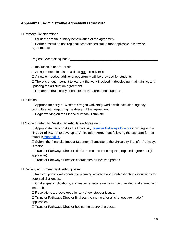## <span id="page-16-0"></span>**Appendix B: Administrative Agreements Checklist**

#### □ Primary Considerations

 $\Box$  Students are the primary beneficiaries of the agreement

 $\Box$  Partner institution has regional accreditation status (not applicable, Statewide Agreements)

Regional Accrediting Body:

 $\Box$  Institution is not-for-profit

☐ An agreement in this area does **not** already exist

 $\Box$  A new or needed additional opportunity will be provided for students

 $\Box$  There is enough benefit to warrant the work involved in developing, maintaining, and updating the articulation agreement

 $\Box$  Department(s) directly connected to the agreement supports it

#### $\Box$  Initiation

 $\Box$  Appropriate party at Western Oregon University works with institution, agency, committee, etc. regarding the design of the agreement.

 $\Box$  Begin working on the Financial Impact Template.

☐ Notice of Intent to Develop an Articulation Agreement

 $\Box$  Appropriate party notifies the University [Transfer Pathways Directo](#page-19-0)r in writing with a **"Notice of Intent"** to develop an Articulation Agreement following the standard format found i[n](#page-18-0) [Appendix C.](#page-18-0)

□ Submit the Financial Impact Statement Template to the University Transfer Pathways **Director** 

 $\Box$  Transfer Pathways Director; drafts memo documenting the proposed agreement (if applicable).

☐ Transfer Pathways Director; coordinates all involved parties.

#### $\Box$  Review, adjustment, and vetting phase:

 $\Box$  Involved parties will coordinate planning activities and troubleshooting discussions for potential challenges.

□ Challenges, implications, and resource requirements will be compiled and shared with leadership.

 $\Box$  Resolutions are developed for any show-stopper issues.

 $\Box$  Transfer Pathways Director finalizes the memo after all changes are made (if applicable).

☐ Transfer Pathways Director begins the approval process.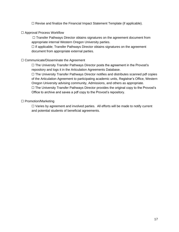☐ Revise and finalize the Financial Impact Statement Template (if applicable).

## ☐ Approval Process Workflow

 $\Box$  Transfer Pathways Director obtains signatures on the agreement document from appropriate internal Western Oregon University parties.

□ If applicable; Transfer Pathways Director obtains signatures on the agreement document from appropriate external parties.

## ☐ Communicate/Disseminate the Agreement

☐ The University Transfer Pathways Director posts the agreement in the Provost's repository and logs it in the Articulation Agreements Database.

☐ The University Transfer Pathways Director notifies and distributes scanned pdf copies of the Articulation Agreement to participating academic units, Registrar's Office, Western Oregon University advising community, Admissions, and others as appropriate.

 $\Box$  The University Transfer Pathways Director provides the original copy to the Provost's Office to archive and saves a pdf copy to the Provost's repository.

### ☐ Promotion/Marketing

□ Varies by agreement and involved parties. All efforts will be made to notify current and potential students of beneficial agreements.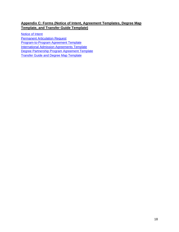# <span id="page-18-0"></span>**Appendix C: Forms (Notice of Intent, Agreement Templates, Degree Map Template, and Transfer Guide Template)**

[Notice of Intent](https://wou.edu/transferpathways/articulation-agreements/database/)

**[Permanent Articulation Request](https://docs.google.com/forms/d/e/1FAIpQLScVXlugiQp39JgV4Z3UXChaHFPtrw_cTsPEnsur1mcbrKR9Nw/viewform)** 

[Program-to-Program Agreement Template](https://drive.google.com/file/d/1k4O62MSdlym-Wj3L4SJzlhIp0k-1Rds7/view?usp=sharing)

[International Admission Agreements Template](https://drive.google.com/file/d/15RONi2YHsSARiporkCSNOpyHdHwtmsos/view?usp=sharing)

Degree Partnership Program [Agreement Template](https://drive.google.com/file/d/1-GbfS2xxcmJLx24Hy5gbYU_F5bB1YaB8/view?usp=sharing)

[Transfer Guide and Degree Map Template](https://docs.google.com/spreadsheets/d/1phFioBnshReg1n9IytNzT2qcXhYdpM_dHsf6HksRLK4/edit?usp=sharing)